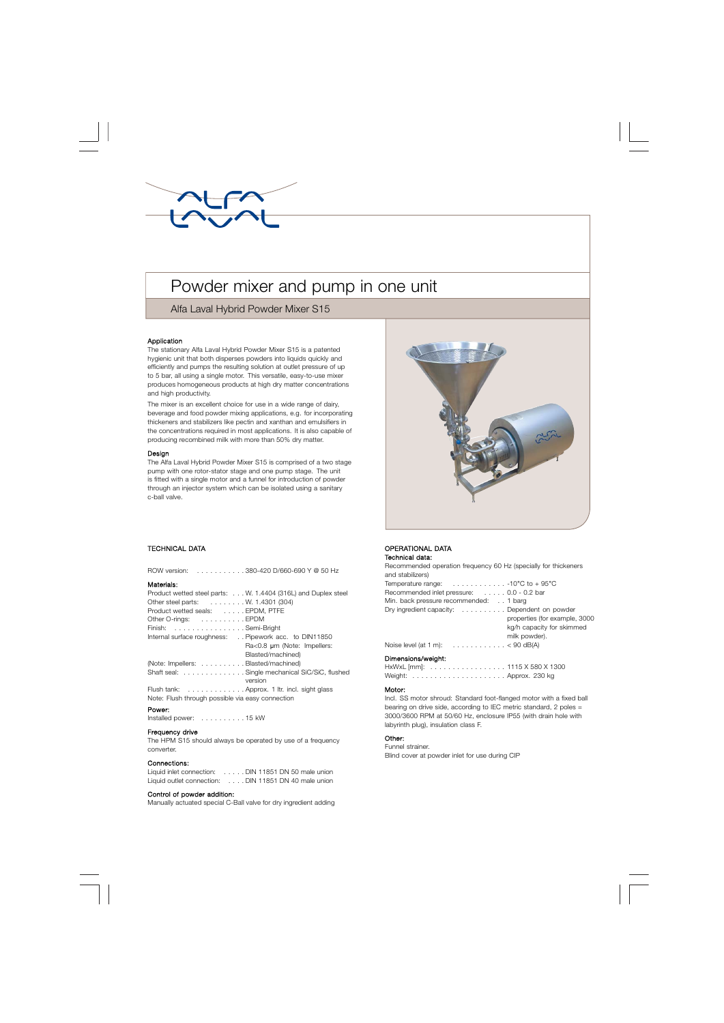# Powder mixer and pump in one unit

## Alfa Laval Hybrid Powder Mixer S15

#### Application

The stationary Alfa Laval Hybrid Powder Mixer S15 is a patented hygienic unit that both disperses powders into liquids quickly and efficiently and pumps the resulting solution at outlet pressure of up to 5 bar, all using a single motor. This versatile, easy-to-use mixer produces homogeneous products at high dry matter concentrations and high productivity.

The mixer is an excellent choice for use in a wide range of dairy, beverage and food powder mixing applications, e.g. for incorporating thickeners and stabilizers like pectin and xanthan and emulsifiers in the concentrations required in most applications. It is also capable of producing recombined milk with more than 50% dry matter.

#### Design

The Alfa Laval Hybrid Powder Mixer S15 is comprised of a two stage pump with one rotor-stator stage and one pump stage. The unit is fitted with a single motor and a funnel for introduction of powder through an injector system which can be isolated using a sanitary c-ball valve.



### . TECHNICAL DATA

| ROW version: 380-420 D/660-690 Y @ 50 Hz                      |  |  |
|---------------------------------------------------------------|--|--|
| Materials:                                                    |  |  |
| Product wetted steel parts: W. 1.4404 (316L) and Duplex steel |  |  |
| Other steel parts: W. 1.4301 (304)                            |  |  |
| Product wetted seals: EPDM, PTFE                              |  |  |
| Other O-rings: EPDM                                           |  |  |
| Finish: Semi-Bright                                           |  |  |
| Internal surface roughness: Pipework acc. to DIN11850         |  |  |
| Ra<0.8 um (Note: Impellers:                                   |  |  |
| Blasted/machined)                                             |  |  |
| (Note: Impellers: Blasted/machined)                           |  |  |
| Shaft seal: Single mechanical SiC/SiC, flushed                |  |  |
| version                                                       |  |  |
| Flush tank: Approx. 1 ltr. incl. sight glass                  |  |  |
| Note: Flush through possible via easy connection              |  |  |

#### Power:

Installed power: . . . . . . . . . . 15 kW

#### Frequency drive

The HPM S15 should always be operated by use of a frequency converter.

#### Connections:

| Liquid inlet connection:  | . DIN 11851 DN 50 male union |
|---------------------------|------------------------------|
| Liquid outlet connection: | . DIN 11851 DN 40 male union |

#### Control of powder addition:

Manually actuated special C-Ball valve for dry ingredient adding

#### OPERATIONAL DATA Technical data:

Recommended operation frequency 60 Hz (specially for thickeners and stabilizers)

| uncour                                                                 |
|------------------------------------------------------------------------|
| Temperature range: $\ldots \ldots \ldots \ldots \ldots$ -10°C to +95°C |
| Recommended inlet pressure: 0.0 - 0.2 bar                              |
| Min. back pressure recommended: 1 barg                                 |
| Dry ingredient capacity: Dependent on powder                           |
| properties (for example, 3000                                          |
| kg/h capacity for skimmed                                              |
| milk powder).                                                          |
| Noise level (at 1 m): $\ldots \ldots \ldots \ldots \ldots$             |
| Dimonojono (wojabły                                                    |

#### Dimensions/weight:

HxWxL [mm]: . . . . . . . . . . . . . . . . . 1115 X 580 X 1300 Weight: . . . . . . . . . . . . . . . . . . . . . Approx. 230 kg

#### Motor:

Incl. SS motor shroud: Standard foot-flanged motor with a fixed ball bearing on drive side, according to IEC metric standard, 2 poles = 3000/3600 RPM at 50/60 Hz, enclosure IP55 (with drain hole with labyrinth plug), insulation class F.

#### Other:

Funnel strainer. Blind cover at powder inlet for use during CIP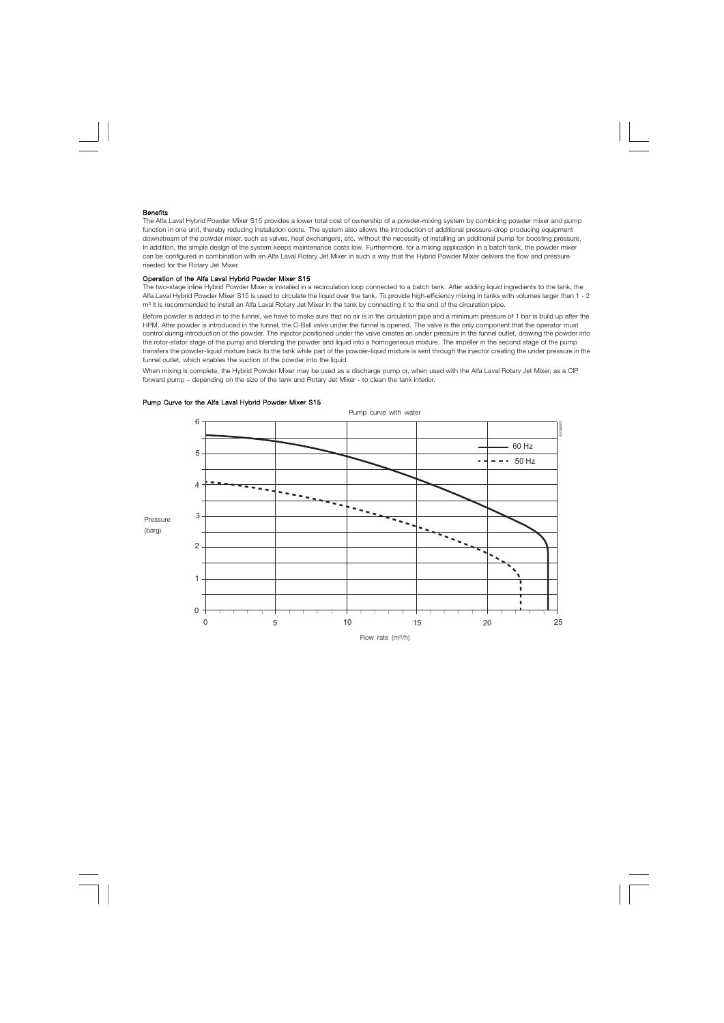#### **Benefits**

The Alfa Laval Hybrid Powder Mixer S15 provides a lower total cost of ownership of a powder-mixing system by combining powder mixer and pump function in one unit, thereby reducing installation costs. The system also allows the introduction of additional pressure-drop producing equipment downstream of the powder mixer, such as valves, heat exchangers, etc. without the necessity of installing an additional pump for boosting pressure. In addition, the simple design of the system keeps maintenance costs low. Furthermore, for a mixing application in a batch tank, the powder mixer can be configured in combination with an Alfa Laval Rotary Jet Mixer in such a way that the Hybrid Powder Mixer delivers the flow and pressure needed for the Rotary Jet Mixer.

#### Operation of the Alfa Laval Hybrid Powder Mixer S15

The two-stage inline Hybrid Powder Mixer is installed in a recirculation loop connected to a batch tank. After adding liquid ingredients to the tank, the Alfa Laval Hybrid Powder Mixer S15 is used to circulate the liquid over the tank. To provide high-efficiency mixing in tanks with volumes larger than 1 - 2 m<sup>3</sup> it is recommended to install an Alfa Laval Rotary Jet Mixer in the tank by connecting it to the end of the circulation pipe.

Before powder is added in to the funnel, we have to make sure that no air is in the circulation pipe and a minimum pressure of 1 bar is build up after the HPM. After powder is introduced in the funnel, the C-Ball valve under the funnel is opened. The valve is the only component that the operator must control during introduction of the powder. The injector positioned under the valve creates an under pressure in the funnel outlet, drawing the powder into the rotor-stator stage of the pump and blending the powder and liquid into a homogeneous mixture. The impeller in the second stage of the pump transfers the powder-liquid mixture back to the tank while part of the powder-liquid mixture is sent through the injector creating the under pressure in the funnel outlet, which enables the suction of the powder into the liquid.

When mixing is complete, the Hybrid Powder Mixer may be used as a discharge pump or, when used with the Alfa Laval Rotary Jet Mixer, as a CIP forward pump – depending on the size of the tank and Rotary Jet Mixer - to clean the tank interior.



#### Pump Curve for the Alfa Laval Hybrid Powder Mixer S15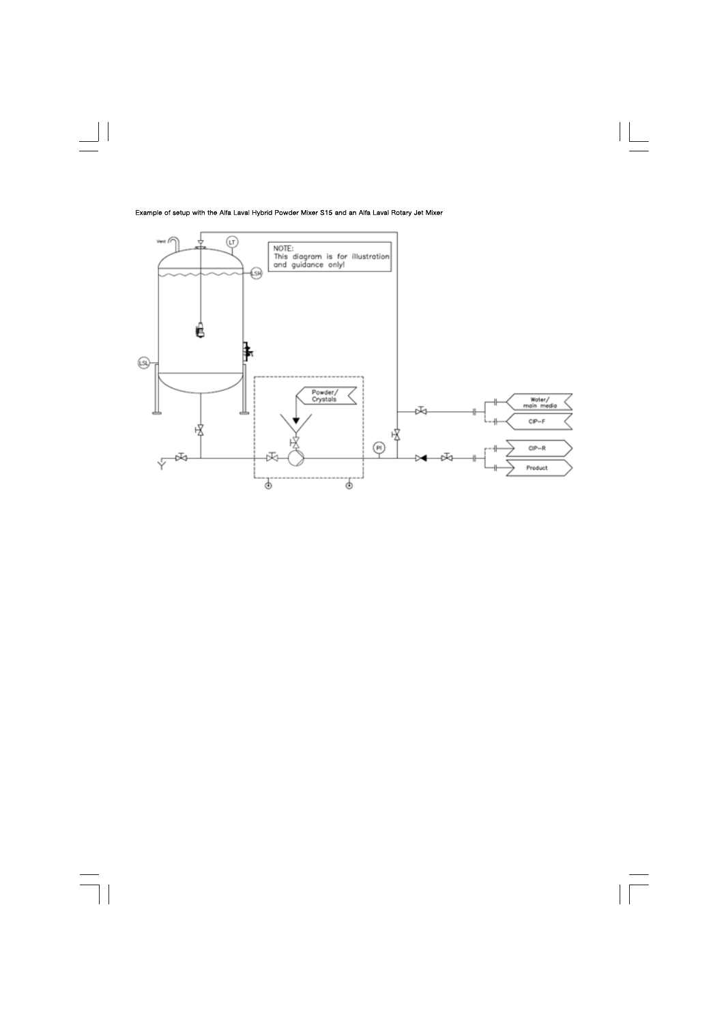#### Example of setup with the Alfa Laval Hybrid Powder Mixer S15 and an Alfa Laval Rotary Jet Mixer